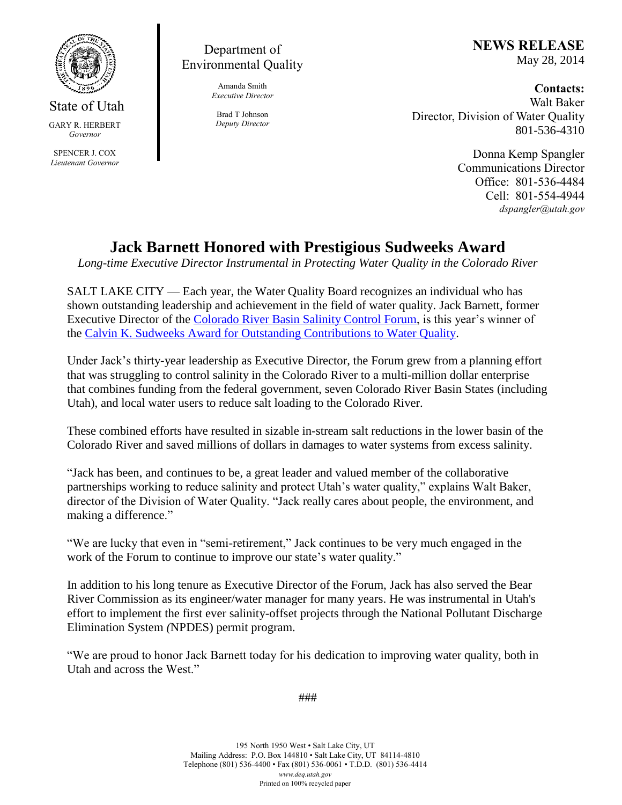

State of Utah GARY R. HERBERT *Governor* SPENCER J. COX *Lieutenant Governor*

## Department of Environmental Quality

Amanda Smith *Executive Director*

Brad T Johnson *Deputy Director*

## **NEWS RELEASE** May 28, 2014

## **Contacts:**

Walt Baker Director, Division of Water Quality 801-536-4310

> Donna Kemp Spangler Communications Director Office: 801-536-4484 Cell: 801-554-4944 *dspangler@utah.gov*

## **Jack Barnett Honored with Prestigious Sudweeks Award**

*Long-time Executive Director Instrumental in Protecting Water Quality in the Colorado River*

SALT LAKE CITY — Each year, the Water Quality Board recognizes an individual who has shown outstanding leadership and achievement in the field of water quality. Jack Barnett, former Executive Director of the Colorado River Basin Salinity Control Forum, is this year's winner of the Calvin K. Sudweeks Award for Outstanding Contributions to Water Quality.

Under Jack's thirty-year leadership as Executive Director, the Forum grew from a planning effort that was struggling to control salinity in the Colorado River to a multi-million dollar enterprise that combines funding from the federal government, seven Colorado River Basin States (including Utah), and local water users to reduce salt loading to the Colorado River.

These combined efforts have resulted in sizable in-stream salt reductions in the lower basin of the Colorado River and saved millions of dollars in damages to water systems from excess salinity.

"Jack has been, and continues to be, a great leader and valued member of the collaborative partnerships working to reduce salinity and protect Utah's water quality," explains Walt Baker, director of the Division of Water Quality. "Jack really cares about people, the environment, and making a difference."

"We are lucky that even in "semi-retirement," Jack continues to be very much engaged in the work of the Forum to continue to improve our state's water quality."

In addition to his long tenure as Executive Director of the Forum, Jack has also served the Bear River Commission as its engineer/water manager for many years. He was instrumental in Utah's effort to implement the first ever salinity-offset projects through the National Pollutant Discharge Elimination System *(*NPDES) permit program.

"We are proud to honor Jack Barnett today for his dedication to improving water quality, both in Utah and across the West."

###

195 North 1950 West • Salt Lake City, UT Mailing Address: P.O. Box 144810 • Salt Lake City, UT 84114-4810 Telephone (801) 536-4400 • Fax (801) 536-0061 • T.D.D. (801) 536-4414 *www.deq.utah.gov* Printed on 100% recycled paper